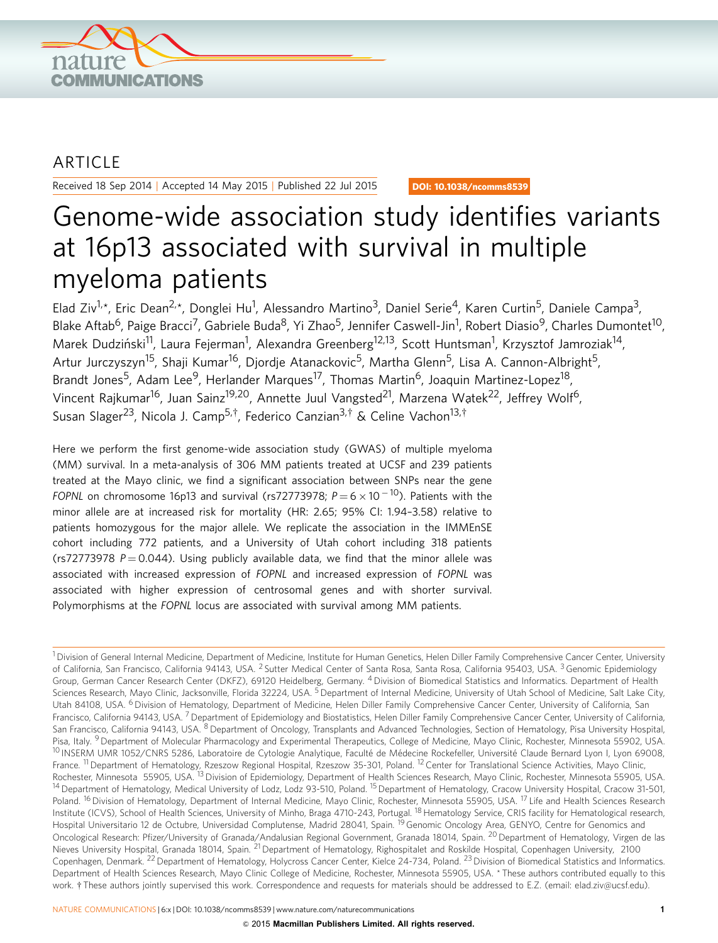

### ARTICLE

Received 18 Sep 2014 | Accepted 14 May 2015 | Published 22 Jul 2015

DOI: 10.1038/ncomms8539

## Genome-wide association study identifies variants at 16p13 associated with survival in multiple myeloma patients

Elad Ziv<sup>1,</sup>\*, Eric Dean<sup>2,</sup>\*, Donglei Hu<sup>1</sup>, Alessandro Martino<sup>3</sup>, Daniel Serie<sup>4</sup>, Karen Curtin<sup>5</sup>, Daniele Campa<sup>3</sup>, Blake Aftab<sup>6</sup>, Paige Bracci<sup>7</sup>, Gabriele Buda<sup>8</sup>, Yi Zhao<sup>5</sup>, Jennifer Caswell-Jin<sup>1</sup>, Robert Diasio<sup>9</sup>, Charles Dumontet<sup>10</sup>, Marek Dudziński<sup>11</sup>, Laura Fejerman<sup>1</sup>, Alexandra Greenberg<sup>12,13</sup>, Scott Huntsman<sup>1</sup>, Krzysztof Jamroziak<sup>14</sup>, Artur Jurczyszyn<sup>15</sup>, Shaji Kumar<sup>16</sup>, Djordje Atanackovic<sup>5</sup>, Martha Glenn<sup>5</sup>, Lisa A. Cannon-Albright<sup>5</sup>, Brandt Jones<sup>5</sup>, Adam Lee<sup>9</sup>, Herlander Marques<sup>17</sup>, Thomas Martin<sup>6</sup>, Joaquin Martinez-Lopez<sup>18</sup>, Vincent Rajkumar<sup>16</sup>, Juan Sainz<sup>19,20</sup>, Annette Juul Vangsted<sup>21</sup>, Marzena Watek<sup>22</sup>, Jeffrey Wolf<sup>6</sup>, Susan Slager<sup>23</sup>, Nicola J. Camp<sup>5,†</sup>, Federico Canzian<sup>3,†</sup> & Celine Vachon<sup>13,†</sup>

Here we perform the first genome-wide association study (GWAS) of multiple myeloma (MM) survival. In a meta-analysis of 306 MM patients treated at UCSF and 239 patients treated at the Mayo clinic, we find a significant association between SNPs near the gene FOPNL on chromosome 16p13 and survival (rs72773978; P $=$  6  $\times$  10  $^{-10}$ ). Patients with the minor allele are at increased risk for mortality (HR: 2.65; 95% CI: 1.94–3.58) relative to patients homozygous for the major allele. We replicate the association in the IMMEnSE cohort including 772 patients, and a University of Utah cohort including 318 patients (rs72773978  $P = 0.044$ ). Using publicly available data, we find that the minor allele was associated with increased expression of FOPNL and increased expression of FOPNL was associated with higher expression of centrosomal genes and with shorter survival. Polymorphisms at the FOPNL locus are associated with survival among MM patients.

 $1$  Division of General Internal Medicine, Department of Medicine, Institute for Human Genetics, Helen Diller Family Comprehensive Cancer Center, University of California, San Francisco, California 94143, USA. <sup>2</sup> Sutter Medical Center of Santa Rosa, Santa Rosa, California 95403, USA. <sup>3</sup> Genomic Epidemiology Group, German Cancer Research Center (DKFZ), 69120 Heidelberg, Germany. 4Division of Biomedical Statistics and Informatics. Department of Health Sciences Research, Mayo Clinic, Jacksonville, Florida 32224, USA. <sup>5</sup> Department of Internal Medicine, University of Utah School of Medicine, Salt Lake City, Utah 84108, USA. <sup>6</sup> Division of Hematology, Department of Medicine, Helen Diller Family Comprehensive Cancer Center, University of California, San Francisco, California 94143, USA. <sup>7</sup> Department of Epidemiology and Biostatistics, Helen Diller Family Comprehensive Cancer Center, University of California, San Francisco, California 94143, USA. <sup>8</sup> Department of Oncology, Transplants and Advanced Technologies, Section of Hematology, Pisa University Hospital, Pisa, Italy. <sup>9</sup> Department of Molecular Pharmacology and Experimental Therapeutics, College of Medicine, Mayo Clinic, Rochester, Minnesota 55902, USA. <sup>10</sup> INSERM UMR 1052/CNRS 5286, Laboratoire de Cytologie Analytique, Faculté de Médecine Rockefeller, Université Claude Bernard Lyon I, Lyon 69008, France. <sup>11</sup> Department of Hematology, Rzeszow Regional Hospital, Rzeszow 35-301, Poland. <sup>12</sup> Center for Translational Science Activities, Mayo Clinic, Rochester, Minnesota 55905, USA. <sup>13</sup> Division of Epidemiology, Department of Health Sciences Research, Mayo Clinic, Rochester, Minnesota 55905, USA. <sup>14</sup> Department of Hematology, Medical University of Lodz, Lodz 93-510, Poland. <sup>15</sup> Department of Hematology, Cracow University Hospital, Cracow 31-501, Poland. <sup>16</sup> Division of Hematology, Department of Internal Medicine, Mayo Clinic, Rochester, Minnesota 55905, USA. <sup>17</sup> Life and Health Sciences Research Institute (ICVS), School of Health Sciences, University of Minho, Braga 4710-243, Portugal. <sup>18</sup> Hematology Service, CRIS facility for Hematological research, Hospital Universitario 12 de Octubre, Universidad Complutense, Madrid 28041, Spain.<sup>19</sup> Genomic Oncology Area, GENYO, Centre for Genomics and Oncological Research: Pfizer/University of Granada/Andalusian Regional Government, Granada 18014, Spain. <sup>20</sup> Department of Hematology, Virgen de las Nieves University Hospital, Granada 18014, Spain. <sup>21</sup> Department of Hematology, Righospitalet and Roskilde Hospital, Copenhagen University, 2100 Copenhagen, Denmark. <sup>22</sup> Department of Hematology, Holycross Cancer Center, Kielce 24-734, Poland. <sup>23</sup> Division of Biomedical Statistics and Informatics. Department of Health Sciences Research, Mayo Clinic College of Medicine, Rochester, Minnesota 55905, USA. \* These authors contributed equally to this work. <sup>+</sup> These authors jointly supervised this work. Correspondence and requests for materials should be addressed to E.Z. (email: [elad.ziv@ucsf.edu](mailto:elad.ziv@ucsf.edu)).

NATURE COMMUNICATIONS | 6:x | DOI: 10.1038/ncomms8539 | [www.nature.com/naturecommunications](http://www.nature.com/naturecommunications) 1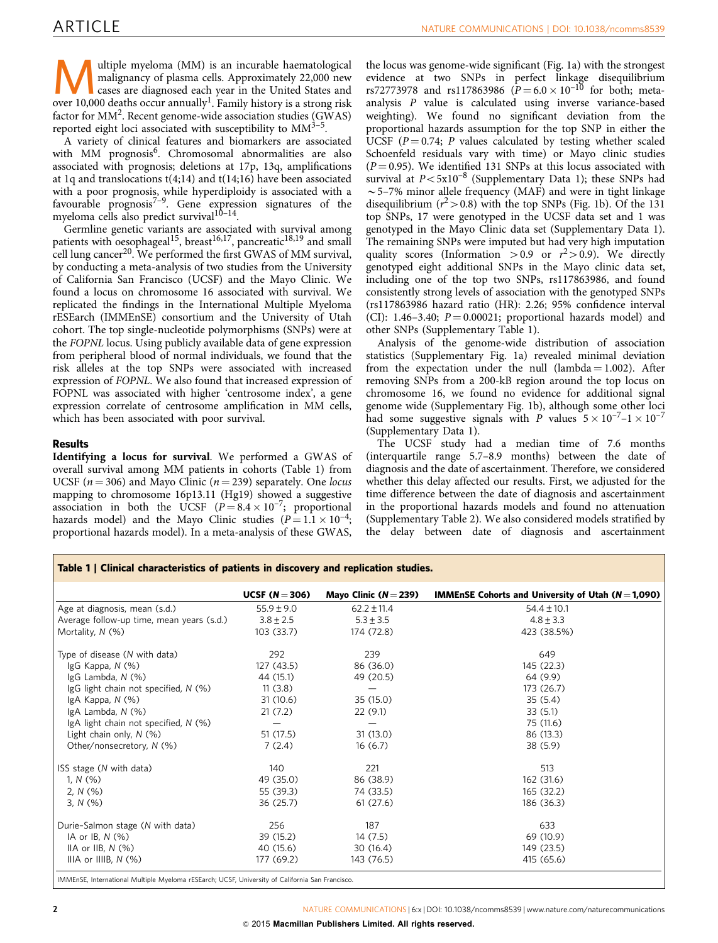Wultiple myeloma (MM) is an incurable haematological<br>malignancy of plasma cells. Approximately 22,000 new<br>cases are diagnosed each year in the United States and<br>over 10,000 deaths occur appually<sup>1</sup>. Equily history is a str malignancy of plasma cells. Approximately 22,000 new over 10,000 deaths occur annually<sup>1</sup>. Family history is a strong risk factor for  $MM^2$  $MM^2$ . Recent genome-wide association studies (GWAS) reported eight loci associated with susceptibility to  $MM^{3-5}$ .

A variety of clinical features and biomarkers are associated with MM prognosis<sup>6</sup>. Chromosomal abnormalities are also associated with prognosis; deletions at 17p, 13q, amplifications at 1q and translocations t(4;14) and t(14;16) have been associated with a poor prognosis, while hyperdiploidy is associated with a favourable prognosis $7-9$ . Gene expression signatures of the myeloma cells also predict survival<sup>10-14</sup>.

Germline genetic variants are associated with survival among patients with oesophageal<sup>15</sup>, breast<sup>[16,17](#page-6-0)</sup>, pancreatic<sup>[18,19](#page-6-0)</sup> and small cell lung cancer<sup>[20](#page-6-0)</sup>. We performed the first GWAS of MM survival, by conducting a meta-analysis of two studies from the University of California San Francisco (UCSF) and the Mayo Clinic. We found a locus on chromosome 16 associated with survival. We replicated the findings in the International Multiple Myeloma rESEarch (IMMEnSE) consortium and the University of Utah cohort. The top single-nucleotide polymorphisms (SNPs) were at the FOPNL locus. Using publicly available data of gene expression from peripheral blood of normal individuals, we found that the risk alleles at the top SNPs were associated with increased expression of FOPNL. We also found that increased expression of FOPNL was associated with higher 'centrosome index', a gene expression correlate of centrosome amplification in MM cells, which has been associated with poor survival.

### Results

Identifying a locus for survival. We performed a GWAS of overall survival among MM patients in cohorts (Table 1) from UCSF ( $n = 306$ ) and Mayo Clinic ( $n = 239$ ) separately. One locus mapping to chromosome 16p13.11 (Hg19) showed a suggestive association in both the UCSF  $(P = 8.4 \times 10^{-7})$ ; proportional hazards model) and the Mayo Clinic studies  $(P=1.1 \times 10^{-4};$ proportional hazards model). In a meta-analysis of these GWAS, the locus was genome-wide significant ([Fig. 1a\)](#page-2-0) with the strongest evidence at two SNPs in perfect linkage disequilibrium rs72773978 and rs117863986 ( $\bar{P}$  = 6.0 × 10<sup>-10</sup> for both; metaanalysis P value is calculated using inverse variance-based weighting). We found no significant deviation from the proportional hazards assumption for the top SNP in either the UCSF ( $P = 0.74$ ; P values calculated by testing whether scaled Schoenfeld residuals vary with time) or Mayo clinic studies  $(P = 0.95)$ . We identified 131 SNPs at this locus associated with survival at  $P < 5x10^{-8}$  (Supplementary Data 1); these SNPs had  $\sim$  5–7% minor allele frequency (MAF) and were in tight linkage disequilibrium  $(r^2 > 0.8)$  with the top SNPs ([Fig. 1b\)](#page-2-0). Of the 131 top SNPs, 17 were genotyped in the UCSF data set and 1 was genotyped in the Mayo Clinic data set (Supplementary Data 1). The remaining SNPs were imputed but had very high imputation quality scores (Information > 0.9 or  $r^2 > 0.9$ ). We directly genotyped eight additional SNPs in the Mayo clinic data set, including one of the top two SNPs, rs117863986, and found consistently strong levels of association with the genotyped SNPs (rs117863986 hazard ratio (HR): 2.26; 95% confidence interval (CI): 1.46-3.40;  $P = 0.00021$ ; proportional hazards model) and other SNPs (Supplementary Table 1).

Analysis of the genome-wide distribution of association statistics (Supplementary Fig. 1a) revealed minimal deviation from the expectation under the null  $(lambda = 1.002)$ . After removing SNPs from a 200-kB region around the top locus on chromosome 16, we found no evidence for additional signal genome wide (Supplementary Fig. 1b), although some other loci had some suggestive signals with P values  $5 \times 10^{-7}$  –  $1 \times 10^{-7}$ (Supplementary Data 1).

The UCSF study had a median time of 7.6 months (interquartile range 5.7–8.9 months) between the date of diagnosis and the date of ascertainment. Therefore, we considered whether this delay affected our results. First, we adjusted for the time difference between the date of diagnosis and ascertainment in the proportional hazards models and found no attenuation (Supplementary Table 2). We also considered models stratified by the delay between date of diagnosis and ascertainment

|                                           | UCSF $(N=306)$ | Mayo Clinic ( $N = 239$ ) | <b>IMMEnSE Cohorts and University of Utah (<math>N = 1,090</math>)</b> |
|-------------------------------------------|----------------|---------------------------|------------------------------------------------------------------------|
| Age at diagnosis, mean (s.d.)             | $55.9 \pm 9.0$ | $62.2 \pm 11.4$           | $54.4 \pm 10.1$                                                        |
| Average follow-up time, mean years (s.d.) | $3.8 \pm 2.5$  | $5.3 \pm 3.5$             | $4.8 \pm 3.3$                                                          |
| Mortality, N (%)                          | 103 (33.7)     | 174 (72.8)                | 423 (38.5%)                                                            |
| Type of disease (N with data)             | 292            | 239                       | 649                                                                    |
| $lgG$ Kappa, $N$ (%)                      | 127 (43.5)     | 86 (36.0)                 | 145 (22.3)                                                             |
| IgG Lambda, N (%)                         | 44 (15.1)      | 49 (20.5)                 | 64 (9.9)                                                               |
| IgG light chain not specified, N (%)      | 11(3.8)        |                           | 173 (26.7)                                                             |
| $lgA$ Kappa, N $(\%)$                     | 31(10.6)       | 35 (15.0)                 | 35(5.4)                                                                |
| IgA Lambda, $N$ $(\%)$                    | 21(7.2)        | 22(9.1)                   | 33(5.1)                                                                |
| IgA light chain not specified, $N$ (%)    |                |                           | 75 (11.6)                                                              |
| Light chain only, $N$ (%)                 | 51(17.5)       | 31(13.0)                  | 86 (13.3)                                                              |
| Other/nonsecretory, N (%)                 | 7(2.4)         | 16(6.7)                   | 38 (5.9)                                                               |
| ISS stage (N with data)                   | 140            | 221                       | 513                                                                    |
| 1, $N$ (%)                                | 49 (35.0)      | 86 (38.9)                 | 162 (31.6)                                                             |
| 2, $N$ (%)                                | 55 (39.3)      | 74 (33.5)                 | 165 (32.2)                                                             |
| $3, N$ (%)                                | 36 (25.7)      | 61(27.6)                  | 186 (36.3)                                                             |
| Durie-Salmon stage (N with data)          | 256            | 187                       | 633                                                                    |
| IA or IB, $N$ $(\%)$                      | 39 (15.2)      | 14(7.5)                   | 69 (10.9)                                                              |
| IIA or IIB, $N$ $(\%)$                    | 40 (15.6)      | 30 (16.4)                 | 149 (23.5)                                                             |
| IIIA or IIIIB, $N$ (%)                    | 177 (69.2)     | 143 (76.5)                | 415 (65.6)                                                             |

IMMEnSE, International Multiple Myeloma rESEarch; UCSF, University of California San Francisco.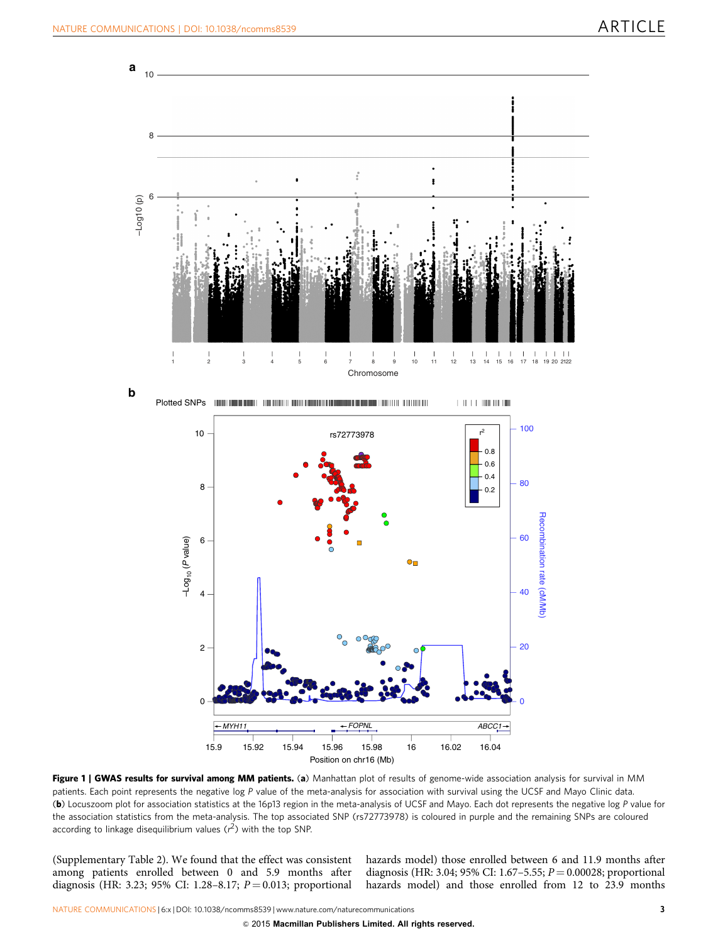<span id="page-2-0"></span>

Figure 1 | GWAS results for survival among MM patients. (a) Manhattan plot of results of genome-wide association analysis for survival in MM patients. Each point represents the negative log P value of the meta-analysis for association with survival using the UCSF and Mayo Clinic data. (b) Locuszoom plot for association statistics at the 16p13 region in the meta-analysis of UCSF and Mayo. Each dot represents the negative log P value for the association statistics from the meta-analysis. The top associated SNP (rs72773978) is coloured in purple and the remaining SNPs are coloured according to linkage disequilibrium values ( $r^2$ ) with the top SNP.

(Supplementary Table 2). We found that the effect was consistent among patients enrolled between 0 and 5.9 months after diagnosis (HR: 3.23; 95% CI: 1.28–8.17;  $P = 0.013$ ; proportional hazards model) those enrolled between 6 and 11.9 months after diagnosis (HR: 3.04; 95% CI: 1.67–5.55;  $P = 0.00028$ ; proportional hazards model) and those enrolled from 12 to 23.9 months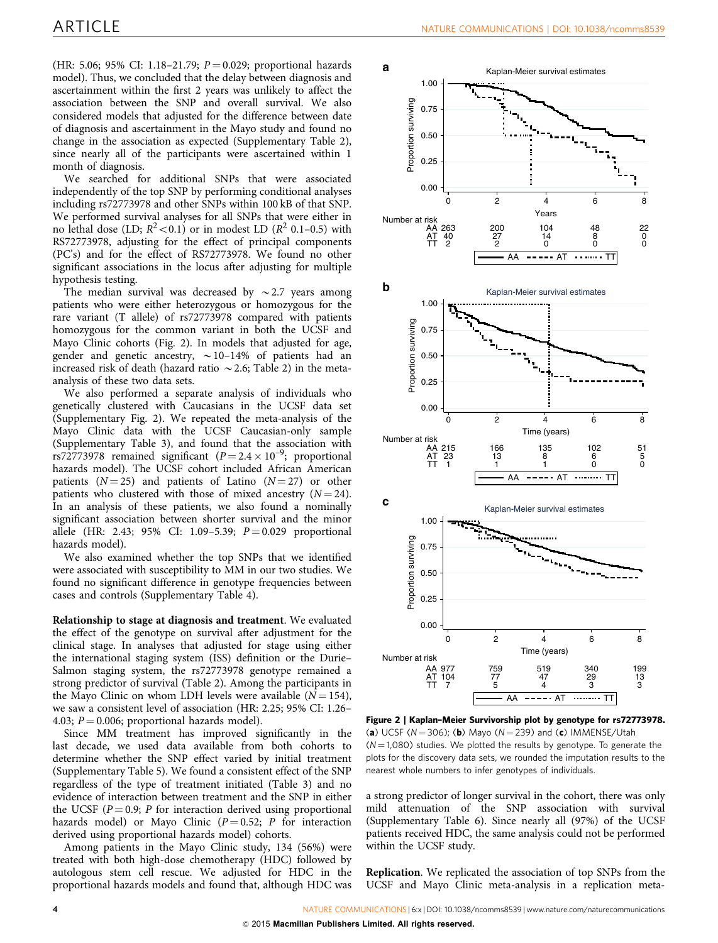<span id="page-3-0"></span>(HR: 5.06; 95% CI: 1.18–21.79;  $P = 0.029$ ; proportional hazards model). Thus, we concluded that the delay between diagnosis and ascertainment within the first 2 years was unlikely to affect the association between the SNP and overall survival. We also considered models that adjusted for the difference between date of diagnosis and ascertainment in the Mayo study and found no change in the association as expected (Supplementary Table 2), since nearly all of the participants were ascertained within 1 month of diagnosis.

We searched for additional SNPs that were associated independently of the top SNP by performing conditional analyses including rs72773978 and other SNPs within 100 kB of that SNP. We performed survival analyses for all SNPs that were either in no lethal dose (LD;  $R^2$  < 0.1) or in modest LD ( $R^2$  0.1–0.5) with RS72773978, adjusting for the effect of principal components (PC's) and for the effect of RS72773978. We found no other significant associations in the locus after adjusting for multiple hypothesis testing.

The median survival was decreased by  $\sim$  2.7 years among patients who were either heterozygous or homozygous for the rare variant (T allele) of rs72773978 compared with patients homozygous for the common variant in both the UCSF and Mayo Clinic cohorts (Fig. 2). In models that adjusted for age, gender and genetic ancestry,  $\sim$  10–14% of patients had an increased risk of death (hazard ratio  $\sim$  2.6; [Table 2\)](#page-4-0) in the metaanalysis of these two data sets.

We also performed a separate analysis of individuals who genetically clustered with Caucasians in the UCSF data set (Supplementary Fig. 2). We repeated the meta-analysis of the Mayo Clinic data with the UCSF Caucasian-only sample (Supplementary Table 3), and found that the association with rs72773978 remained significant  $(P = 2.4 \times 10^{-9})$ ; proportional hazards model). The UCSF cohort included African American patients  $(N = 25)$  and patients of Latino  $(N = 27)$  or other patients who clustered with those of mixed ancestry  $(N = 24)$ . In an analysis of these patients, we also found a nominally significant association between shorter survival and the minor allele (HR: 2.43; 95% CI: 1.09-5.39;  $P = 0.029$  proportional hazards model).

We also examined whether the top SNPs that we identified were associated with susceptibility to MM in our two studies. We found no significant difference in genotype frequencies between cases and controls (Supplementary Table 4).

Relationship to stage at diagnosis and treatment. We evaluated the effect of the genotype on survival after adjustment for the clinical stage. In analyses that adjusted for stage using either the international staging system (ISS) definition or the Durie– Salmon staging system, the rs72773978 genotype remained a strong predictor of survival ([Table 2](#page-4-0)). Among the participants in the Mayo Clinic on whom LDH levels were available  $(N = 154)$ , we saw a consistent level of association (HR: 2.25; 95% CI: 1.26– 4.03;  $P = 0.006$ ; proportional hazards model).

Since MM treatment has improved significantly in the last decade, we used data available from both cohorts to determine whether the SNP effect varied by initial treatment (Supplementary Table 5). We found a consistent effect of the SNP regardless of the type of treatment initiated ([Table 3\)](#page-4-0) and no evidence of interaction between treatment and the SNP in either the UCSF ( $P = 0.9$ ; P for interaction derived using proportional hazards model) or Mayo Clinic ( $P = 0.52$ ; P for interaction derived using proportional hazards model) cohorts.

Among patients in the Mayo Clinic study, 134 (56%) were treated with both high-dose chemotherapy (HDC) followed by autologous stem cell rescue. We adjusted for HDC in the proportional hazards models and found that, although HDC was



Figure 2 | Kaplan–Meier Survivorship plot by genotype for rs72773978. (a) UCSF ( $N = 306$ ); (b) Mayo ( $N = 239$ ) and (c) IMMENSE/Utah  $(N = 1,080)$  studies. We plotted the results by genotype. To generate the plots for the discovery data sets, we rounded the imputation results to the nearest whole numbers to infer genotypes of individuals.

a strong predictor of longer survival in the cohort, there was only mild attenuation of the SNP association with survival (Supplementary Table 6). Since nearly all (97%) of the UCSF patients received HDC, the same analysis could not be performed within the UCSF study.

Replication. We replicated the association of top SNPs from the UCSF and Mayo Clinic meta-analysis in a replication meta-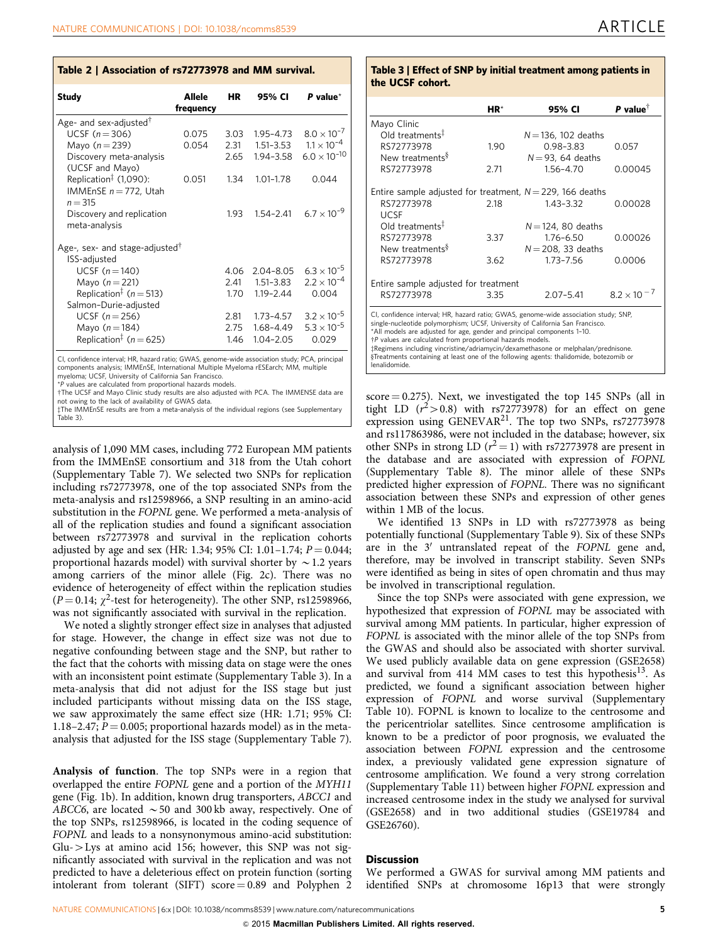<span id="page-4-0"></span>

|  | Table 2   Association of rs72773978 and MM survival. |  |
|--|------------------------------------------------------|--|
|--|------------------------------------------------------|--|

| <b>Study</b>                                                                                                                                                                                                                                                                                                 | Allele<br>frequency | HR   | 95% CI        | P value $^{\star}$    |
|--------------------------------------------------------------------------------------------------------------------------------------------------------------------------------------------------------------------------------------------------------------------------------------------------------------|---------------------|------|---------------|-----------------------|
| Age- and sex-adjusted <sup>†</sup>                                                                                                                                                                                                                                                                           |                     |      |               |                       |
| UCSF $(n=306)$                                                                                                                                                                                                                                                                                               | 0.075               | 3.03 | $1.95 - 4.73$ | $8.0 \times 10^{-7}$  |
| Mayo $(n=239)$                                                                                                                                                                                                                                                                                               | 0.054               | 2.31 | $1.51 - 3.53$ | $1.1 \times 10^{-4}$  |
| Discovery meta-analysis<br>(UCSF and Mayo)                                                                                                                                                                                                                                                                   |                     | 2.65 | 1.94-3.58     | $6.0 \times 10^{-10}$ |
| Replication <sup>‡</sup> (1,090):<br>IMMEnSE $n = 772$ , Utah<br>$n = 315$                                                                                                                                                                                                                                   | 0.051               | 1.34 | $1.01 - 1.78$ | 0.044                 |
| Discovery and replication<br>meta-analysis                                                                                                                                                                                                                                                                   |                     | 1.93 | $1.54 - 2.41$ | $6.7 \times 10^{-9}$  |
| Age-, sex- and stage-adjusted <sup>†</sup><br>ISS-adjusted                                                                                                                                                                                                                                                   |                     |      |               |                       |
| UCSF $(n=140)$                                                                                                                                                                                                                                                                                               |                     | 4.06 | $2.04 - 8.05$ | $6.3 \times 10^{-5}$  |
| Mayo $(n = 221)$                                                                                                                                                                                                                                                                                             |                     | 2.41 | $1.51 - 3.83$ | $2.2 \times 10^{-4}$  |
| Replication <sup>‡</sup> ( $n = 513$ )                                                                                                                                                                                                                                                                       |                     | 1.70 | $1.19 - 2.44$ | 0.004                 |
| Salmon-Durie-adjusted                                                                                                                                                                                                                                                                                        |                     |      |               |                       |
| UCSF $(n=256)$                                                                                                                                                                                                                                                                                               |                     | 2.81 | $1.73 - 4.57$ | $3.2 \times 10^{-5}$  |
| Mayo $(n=184)$                                                                                                                                                                                                                                                                                               |                     | 2.75 | 1.68-4.49     | $5.3 \times 10^{-5}$  |
| Replication <sup>‡</sup> ( $n = 625$ )                                                                                                                                                                                                                                                                       |                     | 1.46 | $1.04 - 2.05$ | 0.029                 |
| CI, confidence interval; HR, hazard ratio; GWAS, genome-wide association study; PCA, principal<br>components analysis; IMMEnSE, International Multiple Myeloma rESEarch; MM, multiple<br>myeloma; UCSF, University of California San Francisco.<br>*Dunling are admitected from proportional bogardo modelo. |                     |      |               |                       |

\*P values are calculated from proportional hazards models.<br>†The UCSF and Mayo Clinic study results are also adjusted with PCA. The IMMENSE data are<br>not owing to the lack of availability of GWAS data not owing to the lack of availability of GWAS data.

zThe IMMEnSE results are from a meta-analysis of the individual regions (see Supplementary Table 3).

analysis of 1,090 MM cases, including 772 European MM patients from the IMMEnSE consortium and 318 from the Utah cohort (Supplementary Table 7). We selected two SNPs for replication including rs72773978, one of the top associated SNPs from the meta-analysis and rs12598966, a SNP resulting in an amino-acid substitution in the FOPNL gene. We performed a meta-analysis of all of the replication studies and found a significant association between rs72773978 and survival in the replication cohorts adjusted by age and sex (HR: 1.34; 95% CI: 1.01-1.74;  $P = 0.044$ ; proportional hazards model) with survival shorter by  $\sim$  1.2 years among carriers of the minor allele [\(Fig. 2c\)](#page-3-0). There was no evidence of heterogeneity of effect within the replication studies ( $P = 0.14$ ;  $\chi^2$ -test for heterogeneity). The other SNP, rs12598966, was not significantly associated with survival in the replication.

We noted a slightly stronger effect size in analyses that adjusted for stage. However, the change in effect size was not due to negative confounding between stage and the SNP, but rather to the fact that the cohorts with missing data on stage were the ones with an inconsistent point estimate (Supplementary Table 3). In a meta-analysis that did not adjust for the ISS stage but just included participants without missing data on the ISS stage, we saw approximately the same effect size (HR: 1.71; 95% CI: 1.18–2.47;  $P = 0.005$ ; proportional hazards model) as in the metaanalysis that adjusted for the ISS stage (Supplementary Table 7).

Analysis of function. The top SNPs were in a region that overlapped the entire FOPNL gene and a portion of the MYH11 gene ([Fig. 1b](#page-2-0)). In addition, known drug transporters, ABCC1 and ABCC6, are located  $\sim$  50 and 300 kb away, respectively. One of the top SNPs, rs12598966, is located in the coding sequence of FOPNL and leads to a nonsynonymous amino-acid substitution:  $Glu->Lys$  at amino acid 156; however, this SNP was not significantly associated with survival in the replication and was not predicted to have a deleterious effect on protein function (sorting intolerant from tolerant (SIFT) score  $= 0.89$  and Polyphen 2.

#### Table 3 | Effect of SNP by initial treatment among patients in the UCSF cohort.

|                                                                                                                                                                                                                                                                                                                                                                                                     | $HR*$ | 95% CI                 | P value $^{\dagger}$ |  |  |
|-----------------------------------------------------------------------------------------------------------------------------------------------------------------------------------------------------------------------------------------------------------------------------------------------------------------------------------------------------------------------------------------------------|-------|------------------------|----------------------|--|--|
| Mayo Clinic                                                                                                                                                                                                                                                                                                                                                                                         |       |                        |                      |  |  |
| Old treatments <sup>‡</sup>                                                                                                                                                                                                                                                                                                                                                                         |       | $N = 136$ , 102 deaths |                      |  |  |
| RS72773978                                                                                                                                                                                                                                                                                                                                                                                          | 1.90  | $0.98 - 3.83$          | 0.057                |  |  |
| New treatments <sup>§</sup>                                                                                                                                                                                                                                                                                                                                                                         |       | $N = 93$ , 64 deaths   |                      |  |  |
| RS72773978                                                                                                                                                                                                                                                                                                                                                                                          | 2.71  | 156-470                | 0.00045              |  |  |
| Entire sample adjusted for treatment, $N = 229$ , 166 deaths                                                                                                                                                                                                                                                                                                                                        |       |                        |                      |  |  |
| RS72773978                                                                                                                                                                                                                                                                                                                                                                                          | 2.18  | 1.43-3.32              | 0.00028              |  |  |
| <b>UCSE</b>                                                                                                                                                                                                                                                                                                                                                                                         |       |                        |                      |  |  |
| Old treatments $\ddagger$                                                                                                                                                                                                                                                                                                                                                                           |       | $N = 124$ , 80 deaths  |                      |  |  |
| RS72773978                                                                                                                                                                                                                                                                                                                                                                                          | 3.37  | $1.76 - 6.50$          | 0.00026              |  |  |
| New treatments <sup>§</sup>                                                                                                                                                                                                                                                                                                                                                                         |       | $N = 208$ , 33 deaths  |                      |  |  |
| RS72773978                                                                                                                                                                                                                                                                                                                                                                                          | 3.62  | 1.73-7.56              | 0.0006               |  |  |
| Entire sample adjusted for treatment                                                                                                                                                                                                                                                                                                                                                                |       |                        |                      |  |  |
| RS72773978                                                                                                                                                                                                                                                                                                                                                                                          | 3.35  | $2.07 - 5.41$          | $8.2 \times 10^{-7}$ |  |  |
|                                                                                                                                                                                                                                                                                                                                                                                                     |       |                        |                      |  |  |
| CI, confidence interval; HR, hazard ratio; GWAS, genome-wide association study; SNP,<br>single-nucleotide polymorphism; UCSF, University of California San Francisco.<br>*All models are adjusted for age, gender and principal components 1-10.<br>†P values are calculated from proportional hazards models.<br>±Regimens including vincristine/adriamycin/dexamethasone or melphalan/prednisone. |       |                        |                      |  |  |
| §Treatments containing at least one of the following agents: thalidomide, botezomib or<br>lenalidomide.                                                                                                                                                                                                                                                                                             |       |                        |                      |  |  |

 $score = 0.275$ ). Next, we investigated the top 145 SNPs (all in tight LD  $(r^2 > 0.8)$  with rs72773978) for an effect on gene expression using GENEVAR<sup>21</sup>. The top two SNPs, rs72773978 and rs117863986, were not included in the database; however, six other SNPs in strong LD ( $r^2 = 1$ ) with rs72773978 are present in the database and are associated with expression of FOPNL (Supplementary Table 8). The minor allele of these SNPs predicted higher expression of FOPNL. There was no significant association between these SNPs and expression of other genes within 1 MB of the locus.

We identified 13 SNPs in LD with rs72773978 as being potentially functional (Supplementary Table 9). Six of these SNPs are in the  $3'$  untranslated repeat of the  $FOPNL$  gene and, therefore, may be involved in transcript stability. Seven SNPs were identified as being in sites of open chromatin and thus may be involved in transcriptional regulation.

Since the top SNPs were associated with gene expression, we hypothesized that expression of FOPNL may be associated with survival among MM patients. In particular, higher expression of FOPNL is associated with the minor allele of the top SNPs from the GWAS and should also be associated with shorter survival. We used publicly available data on gene expression (GSE2658) and survival from 414 MM cases to test this hypothesis<sup>[13](#page-6-0)</sup>. As predicted, we found a significant association between higher expression of FOPNL and worse survival (Supplementary Table 10). FOPNL is known to localize to the centrosome and the pericentriolar satellites. Since centrosome amplification is known to be a predictor of poor prognosis, we evaluated the association between FOPNL expression and the centrosome index, a previously validated gene expression signature of centrosome amplification. We found a very strong correlation (Supplementary Table 11) between higher FOPNL expression and increased centrosome index in the study we analysed for survival (GSE2658) and in two additional studies (GSE19784 and GSE26760).

#### **Discussion**

We performed a GWAS for survival among MM patients and identified SNPs at chromosome 16p13 that were strongly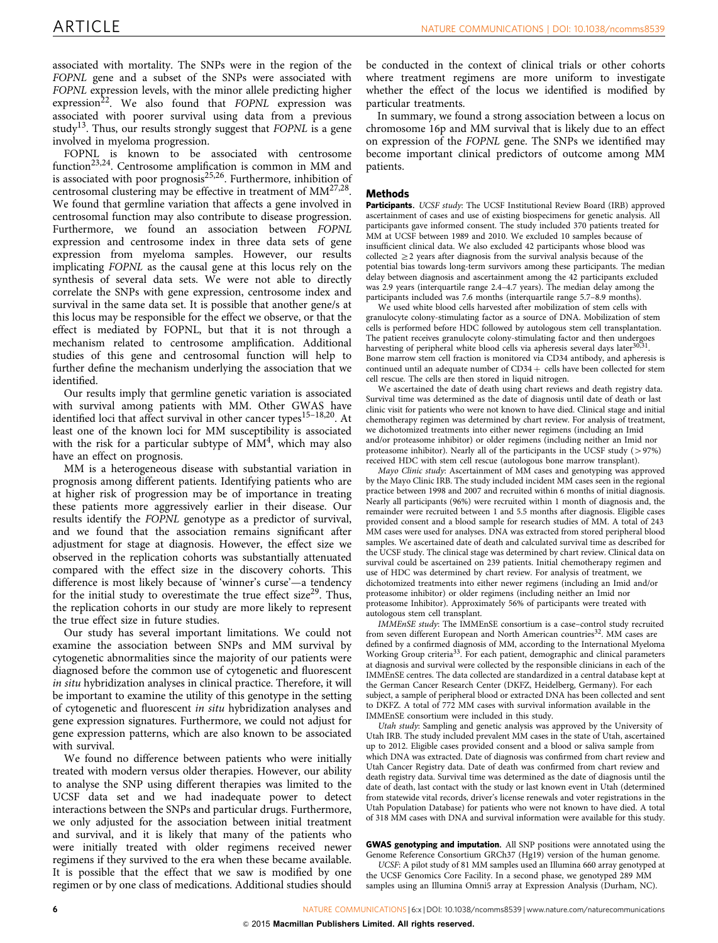associated with mortality. The SNPs were in the region of the FOPNL gene and a subset of the SNPs were associated with FOPNL expression levels, with the minor allele predicting higher expression<sup>22</sup>. We also found that  $FOPNL$  expression was associated with poorer survival using data from a previous study<sup>13</sup>. Thus, our results strongly suggest that  $FOPNL$  is a gene involved in myeloma progression.

FOPNL is known to be associated with centrosome function<sup>23,24</sup>. Centrosome amplification is common in MM and is associated with poor prognosis<sup>25,26</sup>. Furthermore, inhibition of centrosomal clustering may be effective in treatment of  $MM^{27,28}$ . We found that germline variation that affects a gene involved in centrosomal function may also contribute to disease progression. Furthermore, we found an association between FOPNL expression and centrosome index in three data sets of gene expression from myeloma samples. However, our results implicating FOPNL as the causal gene at this locus rely on the synthesis of several data sets. We were not able to directly correlate the SNPs with gene expression, centrosome index and survival in the same data set. It is possible that another gene/s at this locus may be responsible for the effect we observe, or that the effect is mediated by FOPNL, but that it is not through a mechanism related to centrosome amplification. Additional studies of this gene and centrosomal function will help to further define the mechanism underlying the association that we identified.

Our results imply that germline genetic variation is associated with survival among patients with MM. Other GWAS have identified loci that affect survival in other cancer types<sup>15-18,20</sup>. At least one of the known loci for MM susceptibility is associated with the risk for a particular subtype of  $MM^4$ , which may also have an effect on prognosis.

MM is a heterogeneous disease with substantial variation in prognosis among different patients. Identifying patients who are at higher risk of progression may be of importance in treating these patients more aggressively earlier in their disease. Our results identify the FOPNL genotype as a predictor of survival, and we found that the association remains significant after adjustment for stage at diagnosis. However, the effect size we observed in the replication cohorts was substantially attenuated compared with the effect size in the discovery cohorts. This difference is most likely because of 'winner's curse'—a tendency for the initial study to overestimate the true effect size<sup>29</sup>. Thus, the replication cohorts in our study are more likely to represent the true effect size in future studies.

Our study has several important limitations. We could not examine the association between SNPs and MM survival by cytogenetic abnormalities since the majority of our patients were diagnosed before the common use of cytogenetic and fluorescent in situ hybridization analyses in clinical practice. Therefore, it will be important to examine the utility of this genotype in the setting of cytogenetic and fluorescent in situ hybridization analyses and gene expression signatures. Furthermore, we could not adjust for gene expression patterns, which are also known to be associated with survival.

We found no difference between patients who were initially treated with modern versus older therapies. However, our ability to analyse the SNP using different therapies was limited to the UCSF data set and we had inadequate power to detect interactions between the SNPs and particular drugs. Furthermore, we only adjusted for the association between initial treatment and survival, and it is likely that many of the patients who were initially treated with older regimens received newer regimens if they survived to the era when these became available. It is possible that the effect that we saw is modified by one regimen or by one class of medications. Additional studies should be conducted in the context of clinical trials or other cohorts where treatment regimens are more uniform to investigate whether the effect of the locus we identified is modified by particular treatments.

In summary, we found a strong association between a locus on chromosome 16p and MM survival that is likely due to an effect on expression of the FOPNL gene. The SNPs we identified may become important clinical predictors of outcome among MM patients.

#### Methods

Participants. UCSF study: The UCSF Institutional Review Board (IRB) approved ascertainment of cases and use of existing biospecimens for genetic analysis. All participants gave informed consent. The study included 370 patients treated for MM at UCSF between 1989 and 2010. We excluded 10 samples because of insufficient clinical data. We also excluded 42 participants whose blood was collected  $\geq$  2 years after diagnosis from the survival analysis because of the potential bias towards long-term survivors among these participants. The median delay between diagnosis and ascertainment among the 42 participants excluded was 2.9 years (interquartile range 2.4–4.7 years). The median delay among the participants included was 7.6 months (interquartile range 5.7–8.9 months).

We used white blood cells harvested after mobilization of stem cells with granulocyte colony-stimulating factor as a source of DNA. Mobilization of stem cells is performed before HDC followed by autologous stem cell transplantation. The patient receives granulocyte colony-stimulating factor and then undergoes harvesting of peripheral white blood cells via apheresis several days later<sup>30,3</sup> Bone marrow stem cell fraction is monitored via CD34 antibody, and apheresis is continued until an adequate number of  $CD34 +$  cells have been collected for stem cell rescue. The cells are then stored in liquid nitrogen.

We ascertained the date of death using chart reviews and death registry data. Survival time was determined as the date of diagnosis until date of death or last clinic visit for patients who were not known to have died. Clinical stage and initial chemotherapy regimen was determined by chart review. For analysis of treatment, we dichotomized treatments into either newer regimens (including an Imid and/or proteasome inhibitor) or older regimens (including neither an Imid nor proteasome inhibitor). Nearly all of the participants in the UCSF study ( $>97\%$ ) received HDC with stem cell rescue (autologous bone marrow transplant).

Mayo Clinic study: Ascertainment of MM cases and genotyping was approved by the Mayo Clinic IRB. The study included incident MM cases seen in the regional practice between 1998 and 2007 and recruited within 6 months of initial diagnosis. Nearly all participants (96%) were recruited within 1 month of diagnosis and, the remainder were recruited between 1 and 5.5 months after diagnosis. Eligible cases provided consent and a blood sample for research studies of MM. A total of 243 MM cases were used for analyses. DNA was extracted from stored peripheral blood samples. We ascertained date of death and calculated survival time as described for the UCSF study. The clinical stage was determined by chart review. Clinical data on survival could be ascertained on 239 patients. Initial chemotherapy regimen and use of HDC was determined by chart review. For analysis of treatment, we dichotomized treatments into either newer regimens (including an Imid and/or proteasome inhibitor) or older regimens (including neither an Imid nor proteasome Inhibitor). Approximately 56% of participants were treated with autologous stem cell transplant.

IMMEnSE study: The IMMEnSE consortium is a case–control study recruited from seven different European and North American countries<sup>32</sup>. MM cases are defined by a confirmed diagnosis of MM, according to the International Myeloma Working Group criteria<sup>33</sup>. For each patient, demographic and clinical parameters at diagnosis and survival were collected by the responsible clinicians in each of the IMMEnSE centres. The data collected are standardized in a central database kept at the German Cancer Research Center (DKFZ, Heidelberg, Germany). For each subject, a sample of peripheral blood or extracted DNA has been collected and sent to DKFZ. A total of 772 MM cases with survival information available in the IMMEnSE consortium were included in this study.

Utah study: Sampling and genetic analysis was approved by the University of Utah IRB. The study included prevalent MM cases in the state of Utah, ascertained up to 2012. Eligible cases provided consent and a blood or saliva sample from which DNA was extracted. Date of diagnosis was confirmed from chart review and Utah Cancer Registry data. Date of death was confirmed from chart review and death registry data. Survival time was determined as the date of diagnosis until the date of death, last contact with the study or last known event in Utah (determined from statewide vital records, driver's license renewals and voter registrations in the Utah Population Database) for patients who were not known to have died. A total of 318 MM cases with DNA and survival information were available for this study.

GWAS genotyping and imputation. All SNP positions were annotated using the Genome Reference Consortium GRCh37 (Hg19) version of the human genome.

UCSF: A pilot study of 81 MM samples used an Illumina 660 array genotyped at the UCSF Genomics Core Facility. In a second phase, we genotyped 289 MM samples using an Illumina Omni5 array at Expression Analysis (Durham, NC).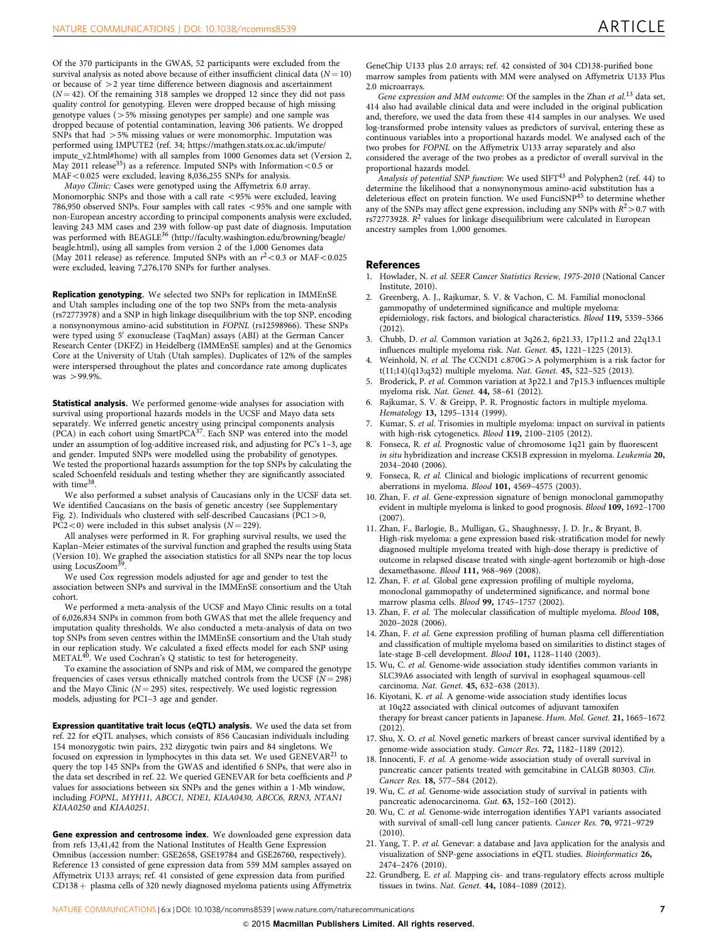<span id="page-6-0"></span>Of the 370 participants in the GWAS, 52 participants were excluded from the survival analysis as noted above because of either insufficient clinical data ( $N = 10$ ) or because of  $>$  2 year time difference between diagnosis and ascertainment  $(N = 42)$ . Of the remaining 318 samples we dropped 12 since they did not pass quality control for genotyping. Eleven were dropped because of high missing genotype values ( $>5\%$  missing genotypes per sample) and one sample was dropped because of potential contamination, leaving 306 patients. We dropped SNPs that had  $>5\%$  missing values or were monomorphic. Imputation was performed using IMPUTE2 [\(ref. 34;](#page-7-0) [https://mathgen.stats.ox.ac.uk/impute/](https://mathgen.stats.ox.ac.uk/impute/impute_v2.html#home) [impute\\_v2.html#home\)](https://mathgen.stats.ox.ac.uk/impute/impute_v2.html#home) with all samples from 1000 Genomes data set (Version 2, May 2011 release<sup>35</sup>) as a reference. Imputed SNPs with Information < 0.5 or  $MAF < 0.025$  were excluded, leaving  $8,036,255$  SNPs for analysis.

Mayo Clinic: Cases were genotyped using the Affymetrix 6.0 array. Monomorphic SNPs and those with a call rate  $<$  95% were excluded, leaving 786,950 observed SNPs. Four samples with call rates <95% and one sample with non-European ancestry according to principal components analysis were excluded, leaving 243 MM cases and 239 with follow-up past date of diagnosis. Imputation<br>was performed with BEAGLE<sup>[36](#page-7-0)</sup> ([http://faculty.washington.edu/browning/beagle/](http://faculty.washington.edu/browning/beagle/beagle.html) [beagle.html\)](http://faculty.washington.edu/browning/beagle/beagle.html), using all samples from version 2 of the 1,000 Genomes data (May 2011 release) as reference. Imputed SNPs with an  $r^2$  < 0.3 or MAF < 0.025 were excluded, leaving 7,276,170 SNPs for further analyses.

Replication genotyping. We selected two SNPs for replication in IMMEnSE and Utah samples including one of the top two SNPs from the meta-analysis (rs72773978) and a SNP in high linkage disequilibrium with the top SNP, encoding a nonsynonymous amino-acid substitution in FOPNL (rs12598966). These SNPs were typed using 5' exonuclease (TaqMan) assays (ABI) at the German Cancer Research Center (DKFZ) in Heidelberg (IMMEnSE samples) and at the Genomics Core at the University of Utah (Utah samples). Duplicates of 12% of the samples were interspersed throughout the plates and concordance rate among duplicates  $was > 99.9%$ 

Statistical analysis. We performed genome-wide analyses for association with survival using proportional hazards models in the UCSF and Mayo data sets separately. We inferred genetic ancestry using principal components analysis<br>(PCA) in each cohort using SmartPCA<sup>[37](#page-7-0)</sup>. Each SNP was entered into the model under an assumption of log-additive increased risk, and adjusting for PC's 1–3, age and gender. Imputed SNPs were modelled using the probability of genotypes. We tested the proportional hazards assumption for the top SNPs by calculating the scaled Schoenfeld residuals and testing whether they are significantly associated with time<sup>[38](#page-7-0)</sup>

We also performed a subset analysis of Caucasians only in the UCSF data set. We identified Caucasians on the basis of genetic ancestry (see Supplementary Fig. 2). Individuals who clustered with self-described Caucasians ( $PC1 > 0$ ,  $PC2<0$ ) were included in this subset analysis ( $N = 229$ ).

All analyses were performed in R. For graphing survival results, we used the Kaplan–Meier estimates of the survival function and graphed the results using Stata (Version 10). We graphed the association statistics for all SNPs near the top locus using LocusZoom<sup>3</sup>

We used Cox regression models adjusted for age and gender to test the association between SNPs and survival in the IMMEnSE consortium and the Utah cohort.

We performed a meta-analysis of the UCSF and Mayo Clinic results on a total of 6,026,834 SNPs in common from both GWAS that met the allele frequency and imputation quality thresholds. We also conducted a meta-analysis of data on two top SNPs from seven centres within the IMMEnSE consortium and the Utah study in our replication study. We calculated a fixed effects model for each SNP using METAL<sup>40</sup>. We used Cochran's Q statistic to test for heterogeneity.

To examine the association of SNPs and risk of MM, we compared the genotype frequencies of cases versus ethnically matched controls from the UCSF ( $N = 298$ ) and the Mayo Clinic ( $N = 295$ ) sites, respectively. We used logistic regression models, adjusting for PC1–3 age and gender.

Expression quantitative trait locus (eQTL) analysis. We used the data set from ref. 22 for eQTL analyses, which consists of 856 Caucasian individuals including 154 monozygotic twin pairs, 232 dizygotic twin pairs and 84 singletons. We focused on expression in lymphocytes in this data set. We used GENEVAR<sup>21</sup> to query the top 145 SNPs from the GWAS and identified 6 SNPs, that were also in the data set described in ref. 22. We queried GENEVAR for beta coefficients and P values for associations between six SNPs and the genes within a 1-Mb window, including FOPNL, MYH11, ABCC1, NDE1, KIAA0430, ABCC6, RRN3, NTAN1 KIAA0250 and KIAA0251.

Gene expression and centrosome index. We downloaded gene expression data from refs 13,41,42 from the National Institutes of Health Gene Expression Omnibus (accession number: GSE2658, GSE19784 and GSE26760, respectively). Reference 13 consisted of gene expression data from 559 MM samples assayed on Affymetrix U133 arrays; [ref. 41](#page-7-0) consisted of gene expression data from purified  $CD138 +$  plasma cells of 320 newly diagnosed myeloma patients using Affymetrix

GeneChip U133 plus 2.0 arrays; [ref. 42](#page-7-0) consisted of 304 CD138-purified bone marrow samples from patients with MM were analysed on Affymetrix U133 Plus 2.0 microarrays.

Gene expression and MM outcome: Of the samples in the Zhan et al.<sup>13</sup> data set, 414 also had available clinical data and were included in the original publication and, therefore, we used the data from these 414 samples in our analyses. We used log-transformed probe intensity values as predictors of survival, entering these as continuous variables into a proportional hazards model. We analysed each of the two probes for FOPNL on the Affymetrix U133 array separately and also considered the average of the two probes as a predictor of overall survival in the proportional hazards model.

Analysis of potential SNP function: We used SIFT<sup>[43](#page-7-0)</sup> and Polyphen2 ([ref. 44\)](#page-7-0) to determine the likelihood that a nonsynonymous amino-acid substitution has a deleterious effect on protein function. We used FunciSNP<sup>[45](#page-7-0)</sup> to determine whether any of the SNPs may affect gene expression, including any SNPs with  $R^2$  > 0.7 with  $rs72773928$ .  $R^2$  values for linkage disequilibrium were calculated in European ancestry samples from 1,000 genomes.

#### References

- 1. Howlader, N. et al. SEER Cancer Statistics Review, 1975-2010 (National Cancer Institute, 2010).
- 2. Greenberg, A. J., Rajkumar, S. V. & Vachon, C. M. Familial monoclonal gammopathy of undetermined significance and multiple myeloma: epidemiology, risk factors, and biological characteristics. Blood 119, 5359–5366 (2012).
- 3. Chubb, D. et al. Common variation at 3q26.2, 6p21.33, 17p11.2 and 22q13.1 influences multiple myeloma risk. Nat. Genet. 45, 1221–1225 (2013).
- 4. Weinhold, N. et al. The CCND1  $c.870G>A$  polymorphism is a risk factor for t(11;14)(q13;q32) multiple myeloma. Nat. Genet. 45, 522–525 (2013).
- Broderick, P. et al. Common variation at 3p22.1 and 7p15.3 influences multiple myeloma risk. Nat. Genet. 44, 58–61 (2012).
- 6. Rajkumar, S. V. & Greipp, P. R. Prognostic factors in multiple myeloma. Hematology 13, 1295–1314 (1999).
- 7. Kumar, S. et al. Trisomies in multiple myeloma: impact on survival in patients with high-risk cytogenetics. Blood 119, 2100–2105 (2012).
- 8. Fonseca, R. et al. Prognostic value of chromosome 1q21 gain by fluorescent in situ hybridization and increase CKS1B expression in myeloma. Leukemia 20, 2034–2040 (2006).
- 9. Fonseca, R. et al. Clinical and biologic implications of recurrent genomic aberrations in myeloma. Blood 101, 4569–4575 (2003).
- 10. Zhan, F. et al. Gene-expression signature of benign monoclonal gammopathy evident in multiple myeloma is linked to good prognosis. Blood 109, 1692–1700 (2007).
- 11. Zhan, F., Barlogie, B., Mulligan, G., Shaughnessy, J. D. Jr., & Bryant, B. High-risk myeloma: a gene expression based risk-stratification model for newly diagnosed multiple myeloma treated with high-dose therapy is predictive of outcome in relapsed disease treated with single-agent bortezomib or high-dose dexamethasone. Blood 111, 968–969 (2008).
- 12. Zhan, F. et al. Global gene expression profiling of multiple myeloma, monoclonal gammopathy of undetermined significance, and normal bone marrow plasma cells. Blood 99, 1745–1757 (2002).
- 13. Zhan, F. et al. The molecular classification of multiple myeloma. Blood 108, 2020–2028 (2006).
- 14. Zhan, F. et al. Gene expression profiling of human plasma cell differentiation and classification of multiple myeloma based on similarities to distinct stages of late-stage B-cell development. Blood 101, 1128–1140 (2003).
- 15. Wu, C. et al. Genome-wide association study identifies common variants in SLC39A6 associated with length of survival in esophageal squamous-cell carcinoma. Nat. Genet. 45, 632–638 (2013).
- 16. Kiyotani, K. et al. A genome-wide association study identifies locus at 10q22 associated with clinical outcomes of adjuvant tamoxifen therapy for breast cancer patients in Japanese. Hum. Mol. Genet. 21, 1665–1672 (2012).
- 17. Shu, X. O. et al. Novel genetic markers of breast cancer survival identified by a genome-wide association study. Cancer Res. 72, 1182–1189 (2012).
- 18. Innocenti, F. et al. A genome-wide association study of overall survival in pancreatic cancer patients treated with gemcitabine in CALGB 80303. Clin. Cancer Res. 18, 577–584 (2012).
- 19. Wu, C. et al. Genome-wide association study of survival in patients with pancreatic adenocarcinoma. Gut. 63, 152–160 (2012).
- 20. Wu, C. et al. Genome-wide interrogation identifies YAP1 variants associated with survival of small-cell lung cancer patients. Cancer Res. 70, 9721–9729 (2010).
- 21. Yang, T. P. et al. Genevar: a database and Java application for the analysis and visualization of SNP-gene associations in eQTL studies. Bioinformatics 26, 2474–2476 (2010).
- 22. Grundberg, E. et al. Mapping cis- and trans-regulatory effects across multiple tissues in twins. Nat. Genet. 44, 1084–1089 (2012).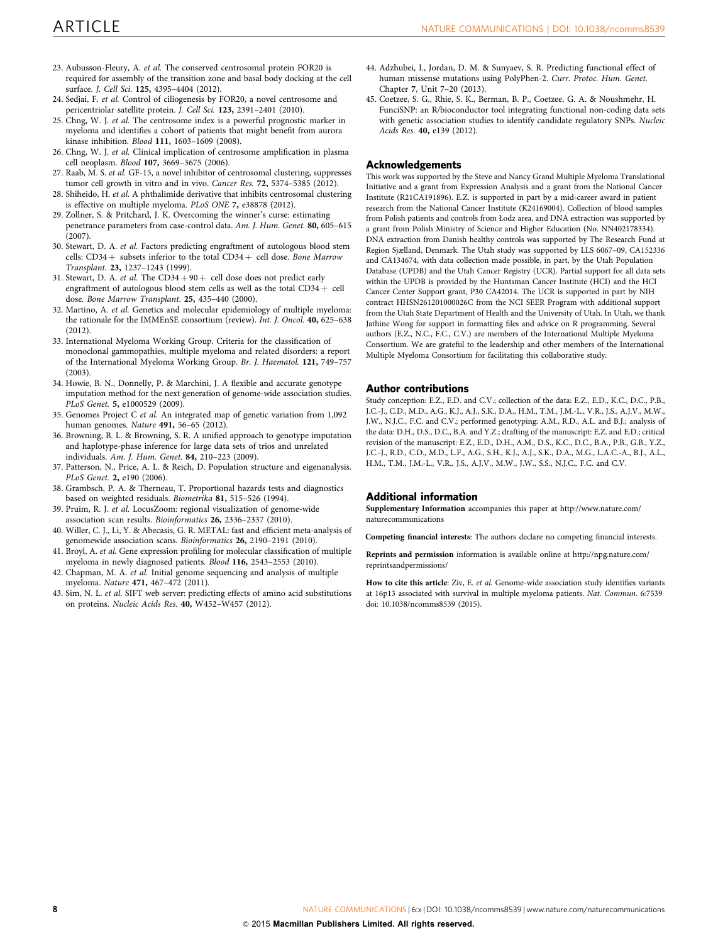- <span id="page-7-0"></span>23. Aubusson-Fleury, A. et al. The conserved centrosomal protein FOR20 is required for assembly of the transition zone and basal body docking at the cell surface. J. Cell Sci. 125, 4395–4404 (2012).
- 24. Sedjai, F. et al. Control of ciliogenesis by FOR20, a novel centrosome and pericentriolar satellite protein. J. Cell Sci. 123, 2391-2401 (2010).
- 25. Chng, W. J. et al. The centrosome index is a powerful prognostic marker in myeloma and identifies a cohort of patients that might benefit from aurora kinase inhibition. Blood 111, 1603–1609 (2008).
- 26. Chng, W. J. et al. Clinical implication of centrosome amplification in plasma cell neoplasm. Blood 107, 3669–3675 (2006).
- 27. Raab, M. S. et al. GF-15, a novel inhibitor of centrosomal clustering, suppresses tumor cell growth in vitro and in vivo. Cancer Res. 72, 5374–5385 (2012).
- 28. Shiheido, H. et al. A phthalimide derivative that inhibits centrosomal clustering is effective on multiple myeloma. PLoS ONE 7, e38878 (2012).
- 29. Zollner, S. & Pritchard, J. K. Overcoming the winner's curse: estimating penetrance parameters from case-control data. Am. J. Hum. Genet. 80, 605–615 (2007).
- 30. Stewart, D. A. et al. Factors predicting engraftment of autologous blood stem cells:  $CD34 +$  subsets inferior to the total  $CD34 +$  cell dose. Bone Marrow Transplant. 23, 1237–1243 (1999).
- 31. Stewart, D. A. et al. The  $CD34 + 90 +$  cell dose does not predict early engraftment of autologous blood stem cells as well as the total CD34  $+$  cell dose. Bone Marrow Transplant. 25, 435–440 (2000).
- 32. Martino, A. et al. Genetics and molecular epidemiology of multiple myeloma: the rationale for the IMMEnSE consortium (review). Int. J. Oncol. 40, 625–638  $(2012)$
- 33. International Myeloma Working Group. Criteria for the classification of monoclonal gammopathies, multiple myeloma and related disorders: a report of the International Myeloma Working Group. Br. J. Haematol. 121, 749–757  $(2003)$
- 34. Howie, B. N., Donnelly, P. & Marchini, J. A flexible and accurate genotype imputation method for the next generation of genome-wide association studies. PLoS Genet. 5, e1000529 (2009).
- 35. Genomes Project C et al. An integrated map of genetic variation from 1,092 human genomes. Nature 491, 56–65 (2012).
- 36. Browning, B. L. & Browning, S. R. A unified approach to genotype imputation and haplotype-phase inference for large data sets of trios and unrelated individuals. Am. J. Hum. Genet. 84, 210–223 (2009).
- 37. Patterson, N., Price, A. L. & Reich, D. Population structure and eigenanalysis. PLoS Genet. 2, e190 (2006).
- 38. Grambsch, P. A. & Therneau, T. Proportional hazards tests and diagnostics based on weighted residuals. Biometrika 81, 515–526 (1994).
- 39. Pruim, R. J. et al. LocusZoom: regional visualization of genome-wide association scan results. Bioinformatics 26, 2336–2337 (2010).
- 40. Willer, C. J., Li, Y. & Abecasis, G. R. METAL: fast and efficient meta-analysis of genomewide association scans. Bioinformatics 26, 2190–2191 (2010).
- 41. Broyl, A. et al. Gene expression profiling for molecular classification of multiple myeloma in newly diagnosed patients. Blood 116, 2543–2553 (2010).
- 42. Chapman, M. A. et al. Initial genome sequencing and analysis of multiple myeloma. Nature 471, 467–472 (2011).
- 43. Sim, N. L. et al. SIFT web server: predicting effects of amino acid substitutions on proteins. Nucleic Acids Res. 40, W452–W457 (2012).
- 44. Adzhubei, I., Jordan, D. M. & Sunyaev, S. R. Predicting functional effect of human missense mutations using PolyPhen-2. Curr. Protoc. Hum. Genet. Chapter 7, Unit 7–20 (2013).
- 45. Coetzee, S. G., Rhie, S. K., Berman, B. P., Coetzee, G. A. & Noushmehr, H. FunciSNP: an R/bioconductor tool integrating functional non-coding data sets with genetic association studies to identify candidate regulatory SNPs. Nucleic Acids Res. 40, e139 (2012).

#### Acknowledgements

This work was supported by the Steve and Nancy Grand Multiple Myeloma Translational Initiative and a grant from Expression Analysis and a grant from the National Cancer Institute (R21CA191896). E.Z. is supported in part by a mid-career award in patient research from the National Cancer Institute (K24169004). Collection of blood samples from Polish patients and controls from Łodz area, and DNA extraction was supported by a grant from Polish Ministry of Science and Higher Education (No. NN402178334). DNA extraction from Danish healthy controls was supported by The Research Fund at Region Sjælland, Denmark. The Utah study was supported by LLS 6067–09, CA152336 and CA134674, with data collection made possible, in part, by the Utah Population Database (UPDB) and the Utah Cancer Registry (UCR). Partial support for all data sets within the UPDB is provided by the Huntsman Cancer Institute (HCI) and the HCI Cancer Center Support grant, P30 CA42014. The UCR is supported in part by NIH contract HHSN261201000026C from the NCI SEER Program with additional support from the Utah State Department of Health and the University of Utah. In Utah, we thank Jathine Wong for support in formatting files and advice on R programming. Several authors (E.Z., N.C., F.C., C.V.) are members of the International Multiple Myeloma Consortium. We are grateful to the leadership and other members of the International Multiple Myeloma Consortium for facilitating this collaborative study.

#### Author contributions

Study conception: E.Z., E.D. and C.V.; collection of the data: E.Z., E.D., K.C., D.C., P.B., J.C.-J., C.D., M.D., A.G., K.J., A.J., S.K., D.A., H.M., T.M., J.M.-L., V.R., J.S., A.J.V., M.W., J.W., N.J.C., F.C. and C.V.; performed genotyping: A.M., R.D., A.L. and B.J.; analysis of the data: D.H., D.S., D.C., B.A. and Y.Z.; drafting of the manuscript: E.Z. and E.D.; critical revision of the manuscript: E.Z., E.D., D.H., A.M., D.S., K.C., D.C., B.A., P.B., G.B., Y.Z., J.C.-J., R.D., C.D., M.D., L.F., A.G., S.H., K.J., A.J., S.K., D.A., M.G., L.A.C.-A., B.J., A.L., H.M., T.M., J.M.-L., V.R., J.S., A.J.V., M.W., J.W., S.S., N.J.C., F.C. and C.V.

#### Additional information

Supplementary Information accompanies this paper at [http://www.nature.com/](http://www.nature.com/naturecommunications) [naturecommunications](http://www.nature.com/naturecommunications)

Competing financial interests: The authors declare no competing financial interests.

Reprints and permission information is available online at [http://npg.nature.com/](http://npg.nature.com/reprintsandpermissions) [reprintsandpermissions/](http://npg.nature.com/reprintsandpermissions)

How to cite this article: Ziv, E. et al. Genome-wide association study identifies variants at 16p13 associated with survival in multiple myeloma patients. Nat. Commun. 6:7539 doi: 10.1038/ncomms8539 (2015).